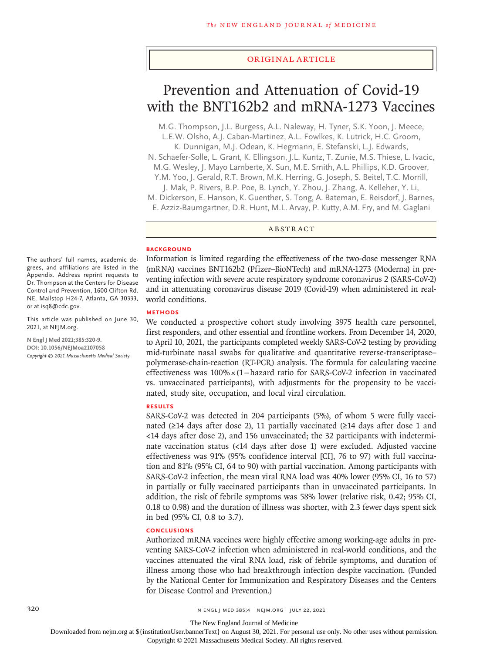#### Original Article

# Prevention and Attenuation of Covid-19 with the BNT162b2 and mRNA-1273 Vaccines

M.G. Thompson, J.L. Burgess, A.L. Naleway, H. Tyner, S.K. Yoon, J. Meece, L.E.W. Olsho, A.J. Caban-Martinez, A.L. Fowlkes, K. Lutrick, H.C. Groom,

K. Dunnigan, M.J. Odean, K. Hegmann, E. Stefanski, L.J. Edwards,

N. Schaefer-Solle, L. Grant, K. Ellingson, J.L. Kuntz, T. Zunie, M.S. Thiese, L. Ivacic, M.G. Wesley, J. Mayo Lamberte, X. Sun, M.E. Smith, A.L. Phillips, K.D. Groover,

Y.M. Yoo, J. Gerald, R.T. Brown, M.K. Herring, G. Joseph, S. Beitel, T.C. Morrill,

J. Mak, P. Rivers, B.P. Poe, B. Lynch, Y. Zhou, J. Zhang, A. Kelleher, Y. Li,

M. Dickerson, E. Hanson, K. Guenther, S. Tong, A. Bateman, E. Reisdorf, J. Barnes,

E. Azziz-Baumgartner, D.R. Hunt, M.L. Arvay, P. Kutty, A.M. Fry, and M. Gaglani

ABSTRACT

#### **BACKGROUND**

Information is limited regarding the effectiveness of the two-dose messenger RNA (mRNA) vaccines BNT162b2 (Pfizer–BioNTech) and mRNA-1273 (Moderna) in preventing infection with severe acute respiratory syndrome coronavirus 2 (SARS-CoV-2) and in attenuating coronavirus disease 2019 (Covid-19) when administered in realworld conditions.

## **METHODS**

We conducted a prospective cohort study involving 3975 health care personnel, first responders, and other essential and frontline workers. From December 14, 2020, to April 10, 2021, the participants completed weekly SARS-CoV-2 testing by providing mid-turbinate nasal swabs for qualitative and quantitative reverse-transcriptase– polymerase-chain-reaction (RT-PCR) analysis. The formula for calculating vaccine effectiveness was 100%×(1−hazard ratio for SARS-CoV-2 infection in vaccinated vs. unvaccinated participants), with adjustments for the propensity to be vaccinated, study site, occupation, and local viral circulation.

# **RESULTS**

SARS-CoV-2 was detected in 204 participants (5%), of whom 5 were fully vaccinated (≥14 days after dose 2), 11 partially vaccinated (≥14 days after dose 1 and <14 days after dose 2), and 156 unvaccinated; the 32 participants with indeterminate vaccination status (<14 days after dose 1) were excluded. Adjusted vaccine effectiveness was 91% (95% confidence interval [CI], 76 to 97) with full vaccination and 81% (95% CI, 64 to 90) with partial vaccination. Among participants with SARS-CoV-2 infection, the mean viral RNA load was 40% lower (95% CI, 16 to 57) in partially or fully vaccinated participants than in unvaccinated participants. In addition, the risk of febrile symptoms was 58% lower (relative risk, 0.42; 95% CI, 0.18 to 0.98) and the duration of illness was shorter, with 2.3 fewer days spent sick in bed (95% CI, 0.8 to 3.7).

# **CONCLUSIONS**

Authorized mRNA vaccines were highly effective among working-age adults in preventing SARS-CoV-2 infection when administered in real-world conditions, and the vaccines attenuated the viral RNA load, risk of febrile symptoms, and duration of illness among those who had breakthrough infection despite vaccination. (Funded by the National Center for Immunization and Respiratory Diseases and the Centers for Disease Control and Prevention.)

The authors' full names, academic degrees, and affiliations are listed in the Appendix. Address reprint requests to Dr. Thompson at the Centers for Disease Control and Prevention, 1600 Clifton Rd. NE, Mailstop H24-7, Atlanta, GA 30333, or at isq8@cdc.gov.

This article was published on June 30, 2021, at NEJM.org.

**N Engl J Med 2021;385:320-9. DOI: 10.1056/NEJMoa2107058** *Copyright © 2021 Massachusetts Medical Society.*

The New England Journal of Medicine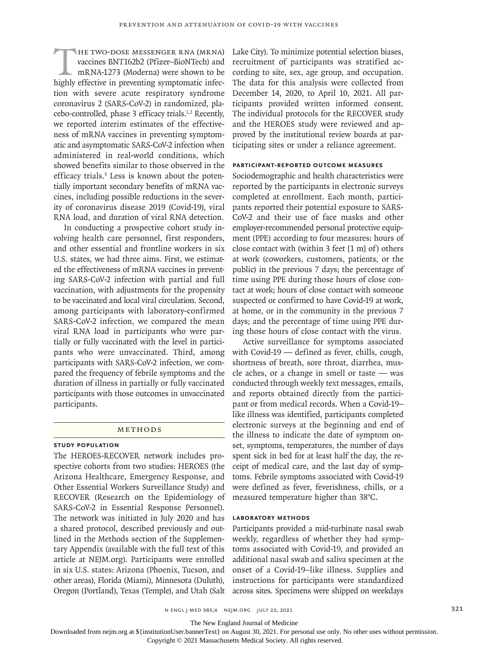HE TWO-DOSE MESSENGER RNA (MRNA) vaccines BNT162b2 (Pfizer-BioNTech) and mRNA-1273 (Moderna) were shown to be highly effective in preventing symptomatic infecvaccines BNT162b2 (Pfizer–BioNTech) and mRNA-1273 (Moderna) were shown to be tion with severe acute respiratory syndrome coronavirus 2 (SARS-CoV-2) in randomized, placebo-controlled, phase 3 efficacy trials.1,2 Recently, we reported interim estimates of the effectiveness of mRNA vaccines in preventing symptomatic and asymptomatic SARS-CoV-2 infection when administered in real-world conditions, which showed benefits similar to those observed in the efficacy trials.<sup>3</sup> Less is known about the potentially important secondary benefits of mRNA vaccines, including possible reductions in the severity of coronavirus disease 2019 (Covid-19), viral RNA load, and duration of viral RNA detection.

In conducting a prospective cohort study involving health care personnel, first responders, and other essential and frontline workers in six U.S. states, we had three aims. First, we estimated the effectiveness of mRNA vaccines in preventing SARS-CoV-2 infection with partial and full vaccination, with adjustments for the propensity to be vaccinated and local viral circulation. Second, among participants with laboratory-confirmed SARS-CoV-2 infection, we compared the mean viral RNA load in participants who were partially or fully vaccinated with the level in participants who were unvaccinated. Third, among participants with SARS-CoV-2 infection, we compared the frequency of febrile symptoms and the duration of illness in partially or fully vaccinated participants with those outcomes in unvaccinated participants.

# Methods

### **Study Population**

The HEROES-RECOVER network includes prospective cohorts from two studies: HEROES (the Arizona Healthcare, Emergency Response, and Other Essential Workers Surveillance Study) and RECOVER (Research on the Epidemiology of SARS-CoV-2 in Essential Response Personnel). The network was initiated in July 2020 and has a shared protocol, described previously and outlined in the Methods section of the Supplementary Appendix (available with the full text of this article at NEJM.org). Participants were enrolled in six U.S. states: Arizona (Phoenix, Tucson, and other areas), Florida (Miami), Minnesota (Duluth), Oregon (Portland), Texas (Temple), and Utah (Salt

Lake City). To minimize potential selection biases, recruitment of participants was stratified according to site, sex, age group, and occupation. The data for this analysis were collected from December 14, 2020, to April 10, 2021. All participants provided written informed consent. The individual protocols for the RECOVER study and the HEROES study were reviewed and approved by the institutional review boards at participating sites or under a reliance agreement.

#### **Participant-Reported Outcome Measures**

Sociodemographic and health characteristics were reported by the participants in electronic surveys completed at enrollment. Each month, participants reported their potential exposure to SARS-CoV-2 and their use of face masks and other employer-recommended personal protective equipment (PPE) according to four measures: hours of close contact with (within 3 feet [1 m] of) others at work (coworkers, customers, patients, or the public) in the previous 7 days; the percentage of time using PPE during those hours of close contact at work; hours of close contact with someone suspected or confirmed to have Covid-19 at work, at home, or in the community in the previous 7 days; and the percentage of time using PPE during those hours of close contact with the virus.

Active surveillance for symptoms associated with Covid-19 — defined as fever, chills, cough, shortness of breath, sore throat, diarrhea, muscle aches, or a change in smell or taste — was conducted through weekly text messages, emails, and reports obtained directly from the participant or from medical records. When a Covid-19– like illness was identified, participants completed electronic surveys at the beginning and end of the illness to indicate the date of symptom onset, symptoms, temperatures, the number of days spent sick in bed for at least half the day, the receipt of medical care, and the last day of symptoms. Febrile symptoms associated with Covid-19 were defined as fever, feverishness, chills, or a measured temperature higher than 38°C.

## **Laboratory Methods**

Participants provided a mid-turbinate nasal swab weekly, regardless of whether they had symptoms associated with Covid-19, and provided an additional nasal swab and saliva specimen at the onset of a Covid-19–like illness. Supplies and instructions for participants were standardized across sites. Specimens were shipped on weekdays

n engl j med 385;4 nejm.org July 22, 2021 321

The New England Journal of Medicine

Downloaded from nejm.org at \${institutionUser.bannerText} on August 30, 2021. For personal use only. No other uses without permission.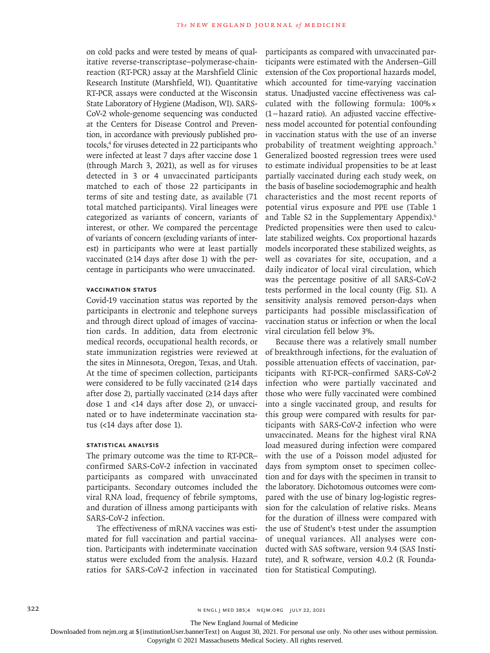on cold packs and were tested by means of qualitative reverse-transcriptase–polymerase-chainreaction (RT-PCR) assay at the Marshfield Clinic Research Institute (Marshfield, WI). Quantitative RT-PCR assays were conducted at the Wisconsin State Laboratory of Hygiene (Madison, WI). SARS-CoV-2 whole-genome sequencing was conducted at the Centers for Disease Control and Prevention, in accordance with previously published protocols,<sup>4</sup> for viruses detected in 22 participants who were infected at least 7 days after vaccine dose 1 (through March 3, 2021), as well as for viruses detected in 3 or 4 unvaccinated participants matched to each of those 22 participants in terms of site and testing date, as available (71 total matched participants). Viral lineages were categorized as variants of concern, variants of interest, or other. We compared the percentage of variants of concern (excluding variants of interest) in participants who were at least partially vaccinated (≥14 days after dose 1) with the percentage in participants who were unvaccinated.

# **Vaccination Status**

Covid-19 vaccination status was reported by the participants in electronic and telephone surveys and through direct upload of images of vaccination cards. In addition, data from electronic medical records, occupational health records, or state immunization registries were reviewed at the sites in Minnesota, Oregon, Texas, and Utah. At the time of specimen collection, participants were considered to be fully vaccinated (≥14 days after dose 2), partially vaccinated (≥14 days after dose 1 and <14 days after dose 2), or unvaccinated or to have indeterminate vaccination status (<14 days after dose 1).

# **Statistical Analysis**

The primary outcome was the time to RT-PCR– confirmed SARS-CoV-2 infection in vaccinated participants as compared with unvaccinated participants. Secondary outcomes included the viral RNA load, frequency of febrile symptoms, and duration of illness among participants with SARS-CoV-2 infection.

The effectiveness of mRNA vaccines was estimated for full vaccination and partial vaccination. Participants with indeterminate vaccination status were excluded from the analysis. Hazard ratios for SARS-CoV-2 infection in vaccinated participants as compared with unvaccinated participants were estimated with the Andersen–Gill extension of the Cox proportional hazards model, which accounted for time-varying vaccination status. Unadjusted vaccine effectiveness was calculated with the following formula: 100%× (1−hazard ratio). An adjusted vaccine effectiveness model accounted for potential confounding in vaccination status with the use of an inverse probability of treatment weighting approach.<sup>5</sup> Generalized boosted regression trees were used to estimate individual propensities to be at least partially vaccinated during each study week, on the basis of baseline sociodemographic and health characteristics and the most recent reports of potential virus exposure and PPE use (Table 1 and Table S2 in the Supplementary Appendix).6 Predicted propensities were then used to calculate stabilized weights. Cox proportional hazards models incorporated these stabilized weights, as well as covariates for site, occupation, and a daily indicator of local viral circulation, which was the percentage positive of all SARS-CoV-2 tests performed in the local county (Fig. S1). A sensitivity analysis removed person-days when participants had possible misclassification of vaccination status or infection or when the local viral circulation fell below 3%.

Because there was a relatively small number of breakthrough infections, for the evaluation of possible attenuation effects of vaccination, participants with RT-PCR–confirmed SARS-CoV-2 infection who were partially vaccinated and those who were fully vaccinated were combined into a single vaccinated group, and results for this group were compared with results for participants with SARS-CoV-2 infection who were unvaccinated. Means for the highest viral RNA load measured during infection were compared with the use of a Poisson model adjusted for days from symptom onset to specimen collection and for days with the specimen in transit to the laboratory. Dichotomous outcomes were compared with the use of binary log-logistic regression for the calculation of relative risks. Means for the duration of illness were compared with the use of Student's t-test under the assumption of unequal variances. All analyses were conducted with SAS software, version 9.4 (SAS Institute), and R software, version 4.0.2 (R Foundation for Statistical Computing).

322 **n ENGL j MED 385;4 NEJM.ORG JULY 22, 2021** 

The New England Journal of Medicine

Downloaded from nejm.org at \${institutionUser.bannerText} on August 30, 2021. For personal use only. No other uses without permission.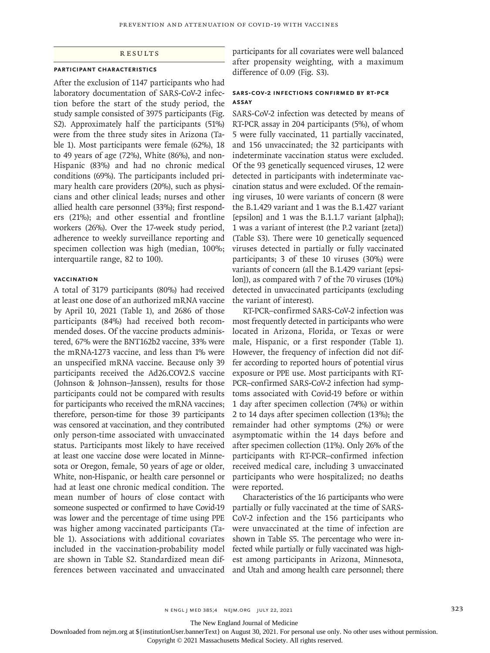# **RESULTS**

### **Participant Characteristics**

After the exclusion of 1147 participants who had laboratory documentation of SARS-CoV-2 infection before the start of the study period, the study sample consisted of 3975 participants (Fig. S2). Approximately half the participants (51%) were from the three study sites in Arizona (Table 1). Most participants were female (62%), 18 to 49 years of age (72%), White (86%), and non-Hispanic (83%) and had no chronic medical conditions (69%). The participants included primary health care providers (20%), such as physicians and other clinical leads; nurses and other allied health care personnel (33%); first responders (21%); and other essential and frontline workers (26%). Over the 17-week study period, adherence to weekly surveillance reporting and specimen collection was high (median, 100%; interquartile range, 82 to 100).

# **Vaccination**

A total of 3179 participants (80%) had received at least one dose of an authorized mRNA vaccine by April 10, 2021 (Table 1), and 2686 of those participants (84%) had received both recommended doses. Of the vaccine products administered, 67% were the BNT162b2 vaccine, 33% were the mRNA-1273 vaccine, and less than 1% were an unspecified mRNA vaccine. Because only 39 participants received the Ad26.COV2.S vaccine (Johnson & Johnson–Janssen), results for those participants could not be compared with results for participants who received the mRNA vaccines; therefore, person-time for those 39 participants was censored at vaccination, and they contributed only person-time associated with unvaccinated status. Participants most likely to have received at least one vaccine dose were located in Minnesota or Oregon, female, 50 years of age or older, White, non-Hispanic, or health care personnel or had at least one chronic medical condition. The mean number of hours of close contact with someone suspected or confirmed to have Covid-19 was lower and the percentage of time using PPE was higher among vaccinated participants (Table 1). Associations with additional covariates included in the vaccination-probability model are shown in Table S2. Standardized mean differences between vaccinated and unvaccinated participants for all covariates were well balanced after propensity weighting, with a maximum difference of 0.09 (Fig. S3).

## **SARS-CoV-2 Infections Confirmed by RT-PCR Assay**

SARS-CoV-2 infection was detected by means of RT-PCR assay in 204 participants (5%), of whom 5 were fully vaccinated, 11 partially vaccinated, and 156 unvaccinated; the 32 participants with indeterminate vaccination status were excluded. Of the 93 genetically sequenced viruses, 12 were detected in participants with indeterminate vaccination status and were excluded. Of the remaining viruses, 10 were variants of concern (8 were the B.1.429 variant and 1 was the B.1.427 variant [epsilon] and 1 was the B.1.1.7 variant [alpha]); 1 was a variant of interest (the P.2 variant [zeta]) (Table S3). There were 10 genetically sequenced viruses detected in partially or fully vaccinated participants; 3 of these 10 viruses (30%) were variants of concern (all the B.1.429 variant [epsilon]), as compared with 7 of the 70 viruses (10%) detected in unvaccinated participants (excluding the variant of interest).

RT-PCR–confirmed SARS-CoV-2 infection was most frequently detected in participants who were located in Arizona, Florida, or Texas or were male, Hispanic, or a first responder (Table 1). However, the frequency of infection did not differ according to reported hours of potential virus exposure or PPE use. Most participants with RT-PCR–confirmed SARS-CoV-2 infection had symptoms associated with Covid-19 before or within 1 day after specimen collection (74%) or within 2 to 14 days after specimen collection (13%); the remainder had other symptoms (2%) or were asymptomatic within the 14 days before and after specimen collection (11%). Only 26% of the participants with RT-PCR–confirmed infection received medical care, including 3 unvaccinated participants who were hospitalized; no deaths were reported.

Characteristics of the 16 participants who were partially or fully vaccinated at the time of SARS-CoV-2 infection and the 156 participants who were unvaccinated at the time of infection are shown in Table S5. The percentage who were infected while partially or fully vaccinated was highest among participants in Arizona, Minnesota, and Utah and among health care personnel; there

n ENGL J MED 385;4 NEJM.ORG JULY 22, 2021 323

The New England Journal of Medicine

Downloaded from nejm.org at \${institutionUser.bannerText} on August 30, 2021. For personal use only. No other uses without permission.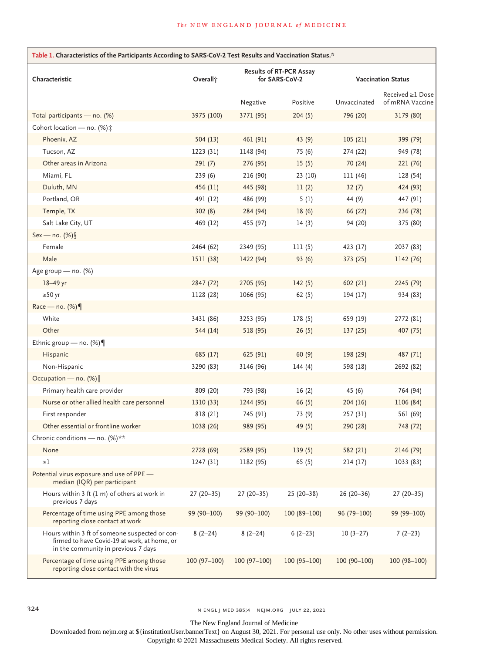| Table 1. Characteristics of the Participants According to SARS-CoV-2 Test Results and Vaccination Status.*                            |                      |                                                  |               |                           |                                     |  |
|---------------------------------------------------------------------------------------------------------------------------------------|----------------------|--------------------------------------------------|---------------|---------------------------|-------------------------------------|--|
| Characteristic                                                                                                                        | Overall <sup>*</sup> | <b>Results of RT-PCR Assay</b><br>for SARS-CoV-2 |               | <b>Vaccination Status</b> |                                     |  |
|                                                                                                                                       |                      | Negative                                         | Positive      | Unvaccinated              | Received ≥1 Dose<br>of mRNA Vaccine |  |
| Total participants - no. (%)                                                                                                          | 3975 (100)           | 3771 (95)                                        | 204(5)        | 796 (20)                  | 3179 (80)                           |  |
| Cohort location - no. (%) :                                                                                                           |                      |                                                  |               |                           |                                     |  |
| Phoenix, AZ                                                                                                                           | 504(13)              | 461 (91)                                         | 43(9)         | 105(21)                   | 399 (79)                            |  |
| Tucson, AZ                                                                                                                            | 1223 (31)            | 1148 (94)                                        | 75 (6)        | 274 (22)                  | 949 (78)                            |  |
| Other areas in Arizona                                                                                                                | 291(7)               | 276 (95)                                         | 15(5)         | 70 (24)                   | 221 (76)                            |  |
| Miami, FL                                                                                                                             | 239(6)               | 216 (90)                                         | 23(10)        | 111 (46)                  | 128 (54)                            |  |
| Duluth, MN                                                                                                                            | 456 (11)             | 445 (98)                                         | 11(2)         | 32(7)                     | 424 (93)                            |  |
| Portland, OR                                                                                                                          | 491 (12)             | 486 (99)                                         | 5(1)          | 44 (9)                    | 447 (91)                            |  |
| Temple, TX                                                                                                                            | 302(8)               | 284 (94)                                         | 18(6)         | 66 (22)                   | 236 (78)                            |  |
| Salt Lake City, UT                                                                                                                    | 469 (12)             | 455 (97)                                         | 14(3)         | 94 (20)                   | 375 (80)                            |  |
| Sex - no. (%)                                                                                                                         |                      |                                                  |               |                           |                                     |  |
| Female                                                                                                                                | 2464 (62)            | 2349 (95)                                        | 111(5)        | 423 (17)                  | 2037 (83)                           |  |
| Male                                                                                                                                  | 1511 (38)            | 1422 (94)                                        | 93(6)         | 373 (25)                  | 1142 (76)                           |  |
| Age group - no. (%)                                                                                                                   |                      |                                                  |               |                           |                                     |  |
| $18-49$ yr                                                                                                                            | 2847 (72)            | 2705 (95)                                        | 142(5)        | 602(21)                   | 2245 (79)                           |  |
| $\geq 50$ yr                                                                                                                          | 1128 (28)            | 1066 (95)                                        | 62(5)         | 194 (17)                  | 934 (83)                            |  |
| Race — no. $(\%)$                                                                                                                     |                      |                                                  |               |                           |                                     |  |
| White                                                                                                                                 | 3431 (86)            | 3253 (95)                                        | 178(5)        | 659 (19)                  | 2772 (81)                           |  |
| Other                                                                                                                                 | 544 (14)             | 518 (95)                                         | 26(5)         | 137(25)                   | 407 (75)                            |  |
| Ethnic group – no. $(\%)$                                                                                                             |                      |                                                  |               |                           |                                     |  |
| Hispanic                                                                                                                              | 685 (17)             | 625 (91)                                         | 60(9)         | 198 (29)                  | 487 (71)                            |  |
| Non-Hispanic                                                                                                                          | 3290 (83)            | 3146 (96)                                        | 144(4)        | 598 (18)                  | 2692 (82)                           |  |
| Occupation - no. (%)                                                                                                                  |                      |                                                  |               |                           |                                     |  |
| Primary health care provider                                                                                                          | 809 (20)             | 793 (98)                                         | 16(2)         | 45(6)                     | 764 (94)                            |  |
| Nurse or other allied health care personnel                                                                                           | 1310 (33)            | 1244 (95)                                        | 66(5)         | 204(16)                   | 1106 (84)                           |  |
| First responder                                                                                                                       | 818 (21)             | 745 (91)                                         | 73 (9)        | 257 (31)                  | 561 (69)                            |  |
| Other essential or frontline worker                                                                                                   | 1038 (26)            | 989 (95)                                         | 49(5)         | 290 (28)                  | 748 (72)                            |  |
| Chronic conditions - no. (%)**                                                                                                        |                      |                                                  |               |                           |                                     |  |
| None                                                                                                                                  | 2728 (69)            | 2589 (95)                                        | 139(5)        | 582 (21)                  | 2146 (79)                           |  |
| $\geq$ 1                                                                                                                              | 1247 (31)            | 1182 (95)                                        | 65(5)         | 214(17)                   | 1033 (83)                           |  |
| Potential virus exposure and use of PPE -<br>median (IQR) per participant                                                             |                      |                                                  |               |                           |                                     |  |
| Hours within 3 ft (1 m) of others at work in<br>previous 7 days                                                                       | $27(20-35)$          | $27(20-35)$                                      | $25(20-38)$   | $26(20-36)$               | $27(20-35)$                         |  |
| Percentage of time using PPE among those<br>reporting close contact at work                                                           | 99 (90-100)          | 99 (90-100)                                      | $100(89-100)$ | $96(79 - 100)$            | 99 (99-100)                         |  |
| Hours within 3 ft of someone suspected or con-<br>firmed to have Covid-19 at work, at home, or<br>in the community in previous 7 days | $8(2-24)$            | $8(2-24)$                                        | $6(2-23)$     | $10(3-27)$                | $7(2-23)$                           |  |
| Percentage of time using PPE among those<br>reporting close contact with the virus                                                    | $100(97-100)$        | $100(97-100)$                                    | $100(95-100)$ | $100(90-100)$             | $100(98 - 100)$                     |  |

324 n engl j med 385;4 nejm.org July 22, 2021

The New England Journal of Medicine

Downloaded from nejm.org at \${institutionUser.bannerText} on August 30, 2021. For personal use only. No other uses without permission.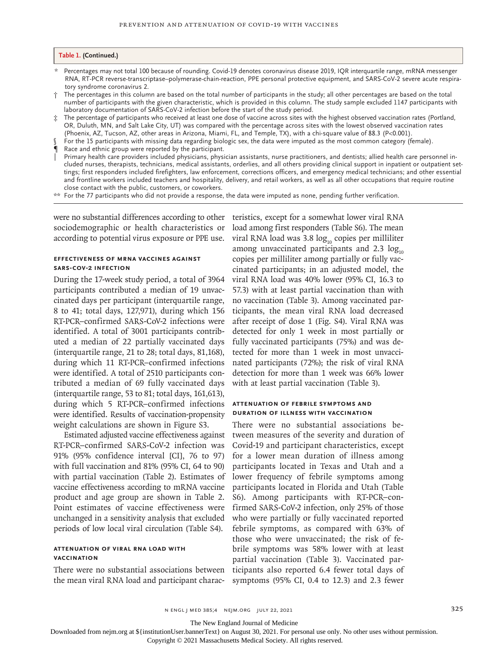#### **Table 1. (Continued.)**

- \* Percentages may not total 100 because of rounding. Covid-19 denotes coronavirus disease 2019, IQR interquartile range, mRNA messenger RNA, RT-PCR reverse-transcriptase–polymerase-chain-reaction, PPE personal protective equipment, and SARS-CoV-2 severe acute respiratory syndrome coronavirus 2.
- † The percentages in this column are based on the total number of participants in the study; all other percentages are based on the total number of participants with the given characteristic, which is provided in this column. The study sample excluded 1147 participants with laboratory documentation of SARS-CoV-2 infection before the start of the study period.
- ‡ The percentage of participants who received at least one dose of vaccine across sites with the highest observed vaccination rates (Portland, OR, Duluth, MN, and Salt Lake City, UT) was compared with the percentage across sites with the lowest observed vaccination rates (Phoenix, AZ, Tucson, AZ, other areas in Arizona, Miami, FL, and Temple, TX), with a chi-square value of 88.3 (P<0.001).
- For the 15 participants with missing data regarding biologic sex, the data were imputed as the most common category (female).
- ¶ Race and ethnic group were reported by the participant.
- ‖ Primary health care providers included physicians, physician assistants, nurse practitioners, and dentists; allied health care personnel included nurses, therapists, technicians, medical assistants, orderlies, and all others providing clinical support in inpatient or outpatient settings; first responders included firefighters, law enforcement, corrections officers, and emergency medical technicians; and other essential and frontline workers included teachers and hospitality, delivery, and retail workers, as well as all other occupations that require routine close contact with the public, customers, or coworkers.
- \*\* For the 77 participants who did not provide a response, the data were imputed as none, pending further verification.

sociodemographic or health characteristics or according to potential virus exposure or PPE use.

# **Effectiveness of mRNA Vaccines against SARS-CoV-2 Infection**

During the 17-week study period, a total of 3964 participants contributed a median of 19 unvaccinated days per participant (interquartile range, 8 to 41; total days, 127,971), during which 156 RT-PCR–confirmed SARS-CoV-2 infections were identified. A total of 3001 participants contributed a median of 22 partially vaccinated days (interquartile range, 21 to 28; total days, 81,168), during which 11 RT-PCR–confirmed infections were identified. A total of 2510 participants contributed a median of 69 fully vaccinated days (interquartile range, 53 to 81; total days, 161,613), during which 5 RT-PCR–confirmed infections were identified. Results of vaccination-propensity weight calculations are shown in Figure S3.

Estimated adjusted vaccine effectiveness against RT-PCR–confirmed SARS-CoV-2 infection was 91% (95% confidence interval [CI], 76 to 97) with full vaccination and 81% (95% CI, 64 to 90) with partial vaccination (Table 2). Estimates of vaccine effectiveness according to mRNA vaccine product and age group are shown in Table 2. Point estimates of vaccine effectiveness were unchanged in a sensitivity analysis that excluded periods of low local viral circulation (Table S4).

# **Attenuation of Viral RNA Load with Vaccination**

There were no substantial associations between the mean viral RNA load and participant charac-

were no substantial differences according to other teristics, except for a somewhat lower viral RNA load among first responders (Table S6). The mean viral RNA load was  $3.8 \log_{10}$  copies per milliliter among unvaccinated participants and  $2.3 \log_{10}$ copies per milliliter among partially or fully vaccinated participants; in an adjusted model, the viral RNA load was 40% lower (95% CI, 16.3 to 57.3) with at least partial vaccination than with no vaccination (Table 3). Among vaccinated participants, the mean viral RNA load decreased after receipt of dose 1 (Fig. S4). Viral RNA was detected for only 1 week in most partially or fully vaccinated participants (75%) and was detected for more than 1 week in most unvaccinated participants (72%); the risk of viral RNA detection for more than 1 week was 66% lower with at least partial vaccination (Table 3).

#### **Attenuation of Febrile Symptoms and Duration of Illness with Vaccination**

There were no substantial associations between measures of the severity and duration of Covid-19 and participant characteristics, except for a lower mean duration of illness among participants located in Texas and Utah and a lower frequency of febrile symptoms among participants located in Florida and Utah (Table S6). Among participants with RT-PCR–confirmed SARS-CoV-2 infection, only 25% of those who were partially or fully vaccinated reported febrile symptoms, as compared with 63% of those who were unvaccinated; the risk of febrile symptoms was 58% lower with at least partial vaccination (Table 3). Vaccinated participants also reported 6.4 fewer total days of symptoms (95% CI, 0.4 to 12.3) and 2.3 fewer

The New England Journal of Medicine

Downloaded from nejm.org at \${institutionUser.bannerText} on August 30, 2021. For personal use only. No other uses without permission.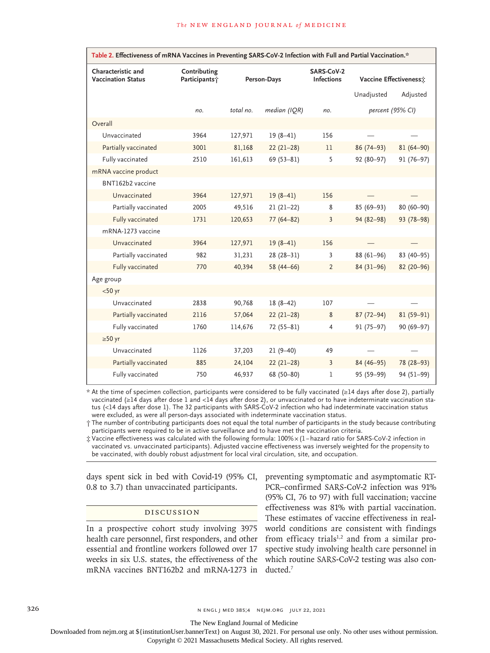| Table 2. Effectiveness of mRNA Vaccines in Preventing SARS-CoV-2 Infection with Full and Partial Vaccination.* |                               |             |               |                                 |                        |               |  |
|----------------------------------------------------------------------------------------------------------------|-------------------------------|-------------|---------------|---------------------------------|------------------------|---------------|--|
| Characteristic and<br><b>Vaccination Status</b>                                                                | Contributing<br>Participants; | Person-Days |               | SARS-CoV-2<br><b>Infections</b> | Vaccine Effectiveness: |               |  |
|                                                                                                                |                               |             |               |                                 | Unadjusted             | Adjusted      |  |
|                                                                                                                | no.                           | total no.   | median (IQR)  | no.                             | percent (95% CI)       |               |  |
| Overall                                                                                                        |                               |             |               |                                 |                        |               |  |
| Unvaccinated                                                                                                   | 3964                          | 127,971     | $19(8-41)$    | 156                             |                        |               |  |
| Partially vaccinated                                                                                           | 3001                          | 81,168      | $22(21-28)$   | 11                              | $86(74-93)$            | $81(64 - 90)$ |  |
| Fully vaccinated                                                                                               | 2510                          | 161,613     | $69(53 - 81)$ | 5                               | 92 (80-97)             | 91 (76-97)    |  |
| mRNA vaccine product                                                                                           |                               |             |               |                                 |                        |               |  |
| BNT162b2 vaccine                                                                                               |                               |             |               |                                 |                        |               |  |
| Unvaccinated                                                                                                   | 3964                          | 127,971     | $19(8-41)$    | 156                             |                        |               |  |
| Partially vaccinated                                                                                           | 2005                          | 49,516      | $21(21-22)$   | 8                               | 85 (69-93)             | 80 (60-90)    |  |
| Fully vaccinated                                                                                               | 1731                          | 120,653     | $77(64 - 82)$ | 3                               | 94 (82-98)             | 93 (78-98)    |  |
| mRNA-1273 vaccine                                                                                              |                               |             |               |                                 |                        |               |  |
| Unvaccinated                                                                                                   | 3964                          | 127,971     | $19(8-41)$    | 156                             |                        |               |  |
| Partially vaccinated                                                                                           | 982                           | 31,231      | $28(28-31)$   | 3                               | 88 (61-96)             | 83 (40-95)    |  |
| Fully vaccinated                                                                                               | 770                           | 40,394      | 58 $(44-66)$  | $\overline{2}$                  | $84(31-96)$            | 82 (20-96)    |  |
| Age group                                                                                                      |                               |             |               |                                 |                        |               |  |
| $<$ 50 yr                                                                                                      |                               |             |               |                                 |                        |               |  |
| Unvaccinated                                                                                                   | 2838                          | 90,768      | $18(8-42)$    | 107                             |                        |               |  |
| Partially vaccinated                                                                                           | 2116                          | 57,064      | $22(21-28)$   | 8                               | $87(72 - 94)$          | $81(59-91)$   |  |
| Fully vaccinated                                                                                               | 1760                          | 114,676     | 72 (55-81)    | 4                               | $91(75-97)$            | 90 (69-97)    |  |
| $\geq 50$ yr                                                                                                   |                               |             |               |                                 |                        |               |  |
| Unvaccinated                                                                                                   | 1126                          | 37,203      | $21(9-40)$    | 49                              |                        |               |  |
| Partially vaccinated                                                                                           | 885                           | 24,104      | $22(21-28)$   | $\overline{3}$                  | 84 (46-95)             | 78 (28-93)    |  |
| Fully vaccinated                                                                                               | 750                           | 46,937      | 68 (50-80)    | 1                               | 95 (59-99)             | 94 (51-99)    |  |

\* At the time of specimen collection, participants were considered to be fully vaccinated (≥14 days after dose 2), partially vaccinated (≥14 days after dose 1 and <14 days after dose 2), or unvaccinated or to have indeterminate vaccination status (<14 days after dose 1). The 32 participants with SARS-CoV-2 infection who had indeterminate vaccination status were excluded, as were all person-days associated with indeterminate vaccination status.

† The number of contributing participants does not equal the total number of participants in the study because contributing participants were required to be in active surveillance and to have met the vaccination criteria.

‡ Vaccine effectiveness was calculated with the following formula: 100%×(1 −hazard ratio for SARS-CoV-2 infection in vaccinated vs. unvaccinated participants). Adjusted vaccine effectiveness was inversely weighted for the propensity to be vaccinated, with doubly robust adjustment for local viral circulation, site, and occupation.

0.8 to 3.7) than unvaccinated participants.

#### Discussion

In a prospective cohort study involving 3975 health care personnel, first responders, and other essential and frontline workers followed over 17 weeks in six U.S. states, the effectiveness of the which routine SARS-CoV-2 testing was also conmRNA vaccines BNT162b2 and mRNA-1273 in ducted.7

days spent sick in bed with Covid-19 (95% CI, preventing symptomatic and asymptomatic RT-PCR–confirmed SARS-CoV-2 infection was 91% (95% CI, 76 to 97) with full vaccination; vaccine effectiveness was 81% with partial vaccination. These estimates of vaccine effectiveness in realworld conditions are consistent with findings from efficacy trials $1,2$  and from a similar prospective study involving health care personnel in

326 **NED 385;4 NEIM.ORG JULY 22, 2021** 

The New England Journal of Medicine

Downloaded from nejm.org at \${institutionUser.bannerText} on August 30, 2021. For personal use only. No other uses without permission.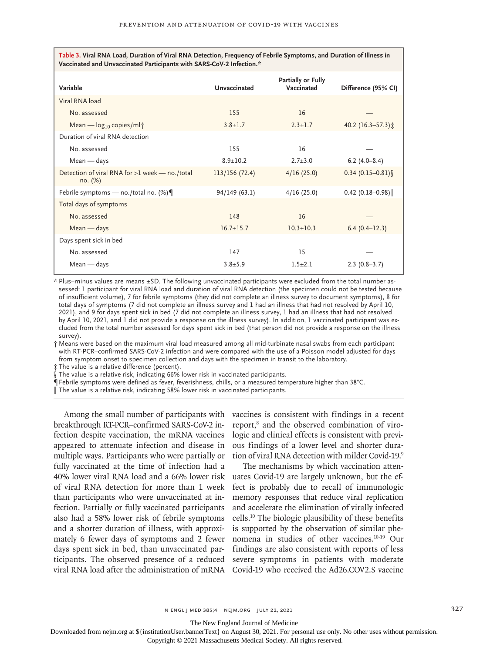**Table 3. Viral RNA Load, Duration of Viral RNA Detection, Frequency of Febrile Symptoms, and Duration of Illness in Vaccinated and Unvaccinated Participants with SARS-CoV-2 Infection.\***

| Variable                                                  | Unvaccinated    | Partially or Fully<br>Vaccinated | Difference (95% CI)        |
|-----------------------------------------------------------|-----------------|----------------------------------|----------------------------|
| Viral RNA load                                            |                 |                                  |                            |
| No. assessed                                              | 155             | 16                               |                            |
| Mean — $log_{10}$ copies/ml <sup>+</sup>                  | $3.8 \pm 1.7$   | $2.3 + 1.7$                      | 40.2 (16.3-57.3) $\hat{x}$ |
| Duration of viral RNA detection                           |                 |                                  |                            |
| No. assessed                                              | 155             | 16                               |                            |
| $Mean - days$                                             | $8.9 \pm 10.2$  | $2.7 + 3.0$                      | $6.2(4.0-8.4)$             |
| Detection of viral RNA for >1 week - no./total<br>no. (%) | 113/156(72.4)   | 4/16(25.0)                       | $0.34(0.15 - 0.81)$        |
| Febrile symptoms — no./total no. $(\%)$                   | 94/149 (63.1)   | 4/16(25.0)                       | $0.42$ (0.18-0.98)         |
| Total days of symptoms                                    |                 |                                  |                            |
| No. assessed                                              | 148             | 16                               |                            |
| $Mean - days$                                             | $16.7 \pm 15.7$ | $10.3 \pm 10.3$                  | $6.4(0.4-12.3)$            |
| Days spent sick in bed                                    |                 |                                  |                            |
| No. assessed                                              | 147             | 15                               |                            |
| $Mean - days$                                             | $3.8 + 5.9$     | $1.5 + 2.1$                      | $2.3(0.8-3.7)$             |
|                                                           |                 |                                  |                            |

\* Plus–minus values are means ±SD. The following unvaccinated participants were excluded from the total number assessed: 1 participant for viral RNA load and duration of viral RNA detection (the specimen could not be tested because of insufficient volume), 7 for febrile symptoms (they did not complete an illness survey to document symptoms), 8 for total days of symptoms (7 did not complete an illness survey and 1 had an illness that had not resolved by April 10, 2021), and 9 for days spent sick in bed (7 did not complete an illness survey, 1 had an illness that had not resolved by April 10, 2021, and 1 did not provide a response on the illness survey). In addition, 1 vaccinated participant was excluded from the total number assessed for days spent sick in bed (that person did not provide a response on the illness survey).

† Means were based on the maximum viral load measured among all mid-turbinate nasal swabs from each participant with RT-PCR–confirmed SARS-CoV-2 infection and were compared with the use of a Poisson model adjusted for days from symptom onset to specimen collection and days with the specimen in transit to the laboratory.

‡ The value is a relative difference (percent).

The value is a relative risk, indicating  $66\%$  lower risk in vaccinated participants.

Febrile symptoms were defined as fever, feverishness, chills, or a measured temperature higher than 38°C.

‖ The value is a relative risk, indicating 58% lower risk in vaccinated participants.

breakthrough RT-PCR–confirmed SARS-CoV-2 infection despite vaccination, the mRNA vaccines appeared to attenuate infection and disease in multiple ways. Participants who were partially or fully vaccinated at the time of infection had a 40% lower viral RNA load and a 66% lower risk of viral RNA detection for more than 1 week than participants who were unvaccinated at infection. Partially or fully vaccinated participants also had a 58% lower risk of febrile symptoms and a shorter duration of illness, with approximately 6 fewer days of symptoms and 2 fewer days spent sick in bed, than unvaccinated participants. The observed presence of a reduced severe symptoms in patients with moderate

Among the small number of participants with vaccines is consistent with findings in a recent report,<sup>8</sup> and the observed combination of virologic and clinical effects is consistent with previous findings of a lower level and shorter duration of viral RNA detection with milder Covid-19.9

viral RNA load after the administration of mRNA Covid-19 who received the Ad26.COV2.S vaccine The mechanisms by which vaccination attenuates Covid-19 are largely unknown, but the effect is probably due to recall of immunologic memory responses that reduce viral replication and accelerate the elimination of virally infected cells.10 The biologic plausibility of these benefits is supported by the observation of similar phenomena in studies of other vaccines.10-19 Our findings are also consistent with reports of less

n ENGL J MED 385;4 NEJM.ORG JULY 22, 2021 327

The New England Journal of Medicine

Downloaded from nejm.org at \${institutionUser.bannerText} on August 30, 2021. For personal use only. No other uses without permission.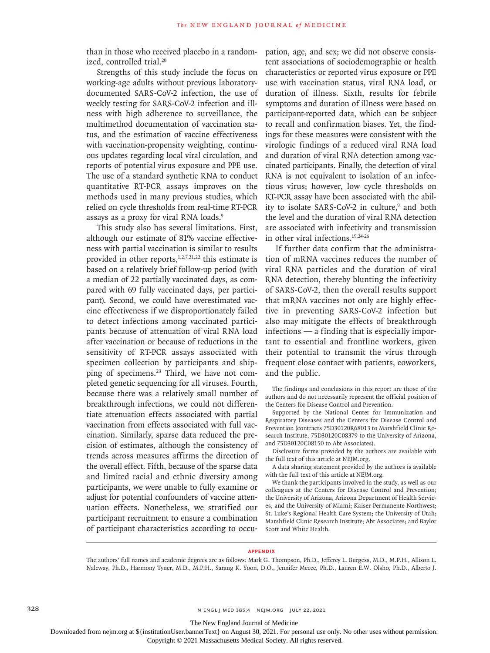than in those who received placebo in a randomized, controlled trial.<sup>20</sup>

Strengths of this study include the focus on working-age adults without previous laboratorydocumented SARS-CoV-2 infection, the use of weekly testing for SARS-CoV-2 infection and illness with high adherence to surveillance, the multimethod documentation of vaccination status, and the estimation of vaccine effectiveness with vaccination-propensity weighting, continuous updates regarding local viral circulation, and reports of potential virus exposure and PPE use. The use of a standard synthetic RNA to conduct quantitative RT-PCR assays improves on the methods used in many previous studies, which relied on cycle thresholds from real-time RT-PCR assays as a proxy for viral RNA loads.9

This study also has several limitations. First, although our estimate of 81% vaccine effectiveness with partial vaccination is similar to results provided in other reports,<sup>1,2,7,21,22</sup> this estimate is based on a relatively brief follow-up period (with a median of 22 partially vaccinated days, as compared with 69 fully vaccinated days, per participant). Second, we could have overestimated vaccine effectiveness if we disproportionately failed to detect infections among vaccinated participants because of attenuation of viral RNA load after vaccination or because of reductions in the sensitivity of RT-PCR assays associated with specimen collection by participants and shipping of specimens.<sup>23</sup> Third, we have not completed genetic sequencing for all viruses. Fourth, because there was a relatively small number of breakthrough infections, we could not differentiate attenuation effects associated with partial vaccination from effects associated with full vaccination. Similarly, sparse data reduced the precision of estimates, although the consistency of trends across measures affirms the direction of the overall effect. Fifth, because of the sparse data and limited racial and ethnic diversity among participants, we were unable to fully examine or adjust for potential confounders of vaccine attenuation effects. Nonetheless, we stratified our participant recruitment to ensure a combination of participant characteristics according to occupation, age, and sex; we did not observe consistent associations of sociodemographic or health characteristics or reported virus exposure or PPE use with vaccination status, viral RNA load, or duration of illness. Sixth, results for febrile symptoms and duration of illness were based on participant-reported data, which can be subject to recall and confirmation biases. Yet, the findings for these measures were consistent with the virologic findings of a reduced viral RNA load and duration of viral RNA detection among vaccinated participants. Finally, the detection of viral RNA is not equivalent to isolation of an infectious virus; however, low cycle thresholds on RT-PCR assay have been associated with the ability to isolate SARS-CoV-2 in culture,<sup>9</sup> and both the level and the duration of viral RNA detection are associated with infectivity and transmission in other viral infections.19,24-26

If further data confirm that the administration of mRNA vaccines reduces the number of viral RNA particles and the duration of viral RNA detection, thereby blunting the infectivity of SARS-CoV-2, then the overall results support that mRNA vaccines not only are highly effective in preventing SARS-CoV-2 infection but also may mitigate the effects of breakthrough infections — a finding that is especially important to essential and frontline workers, given their potential to transmit the virus through frequent close contact with patients, coworkers, and the public.

The findings and conclusions in this report are those of the authors and do not necessarily represent the official position of the Centers for Disease Control and Prevention.

Supported by the National Center for Immunization and Respiratory Diseases and the Centers for Disease Control and Prevention (contracts 75D30120R68013 to Marshfield Clinic Research Institute, 75D30120C08379 to the University of Arizona, and 75D30120C08150 to Abt Associates).

Disclosure forms provided by the authors are available with the full text of this article at NEJM.org.

A data sharing statement provided by the authors is available with the full text of this article at NEJM.org.

We thank the participants involved in the study, as well as our colleagues at the Centers for Disease Control and Prevention; the University of Arizona, Arizona Department of Health Services, and the University of Miami; Kaiser Permanente Northwest; St. Luke's Regional Health Care System; the University of Utah; Marshfield Clinic Research Institute; Abt Associates; and Baylor Scott and White Health.

#### **Appendix**

The authors' full names and academic degrees are as follows: Mark G. Thompson, Ph.D., Jefferey L. Burgess, M.D., M.P.H., Allison L. Naleway, Ph.D., Harmony Tyner, M.D., M.P.H., Sarang K. Yoon, D.O., Jennifer Meece, Ph.D., Lauren E.W. Olsho, Ph.D., Alberto J.

328 **1.4 and 385;4 n engl j med 385;4 n engl j med 385;4 n engl j med 385;4 n engl d j med 385;4 n engl d j med 385;4 n engl d j med 385;4 n engl d j med 385;4 n engl d j med 385;4 n engl d j med 385;4 n engl d j med 385;4** 

The New England Journal of Medicine

Downloaded from nejm.org at \${institutionUser.bannerText} on August 30, 2021. For personal use only. No other uses without permission.